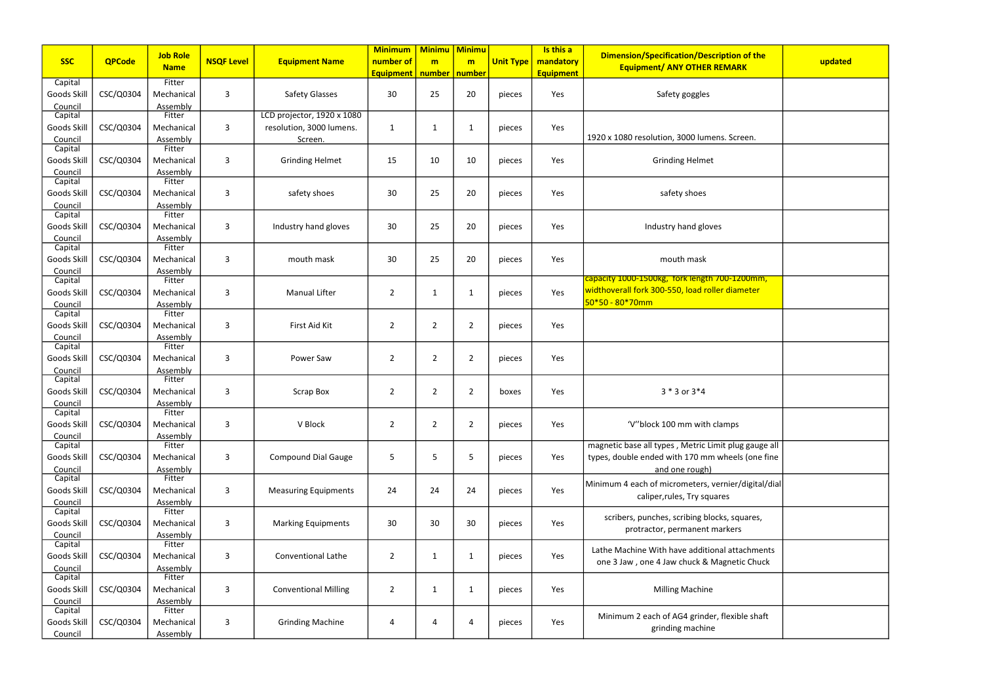|                        |               | <b>Job Role</b>        |                   |                             | <b>Minimum</b>                | <b>Minimu</b>        | <b>Minimu</b>  |                  | Is this a                     | <b>Dimension/Specification/Description of the</b>    |         |
|------------------------|---------------|------------------------|-------------------|-----------------------------|-------------------------------|----------------------|----------------|------------------|-------------------------------|------------------------------------------------------|---------|
| <b>SSC</b>             | <b>QPCode</b> | <b>Name</b>            | <b>NSQF Level</b> | <b>Equipment Name</b>       | number of<br><b>Equipment</b> | m<br>number   number | m              | <b>Unit Type</b> | mandatory<br><b>Equipment</b> | <b>Equipment/ ANY OTHER REMARK</b>                   | updated |
| Capital                |               | Fitter                 |                   |                             |                               |                      |                |                  |                               |                                                      |         |
| Goods Skill            | CSC/Q0304     | Mechanical             | 3                 | <b>Safety Glasses</b>       | 30                            | 25                   | 20             | pieces           | Yes                           | Safety goggles                                       |         |
| Council<br>Capital     |               | Assembly<br>Fitter     |                   | LCD projector, 1920 x 1080  |                               |                      |                |                  |                               |                                                      |         |
| Goods Skill            | CSC/Q0304     | Mechanical             | 3                 | resolution, 3000 lumens.    | $\mathbf{1}$                  | $\mathbf 1$          | 1              | pieces           | Yes                           |                                                      |         |
| Council                |               | Assembly               |                   | Screen.                     |                               |                      |                |                  |                               | 1920 x 1080 resolution, 3000 lumens. Screen.         |         |
| Capital                |               | Fitter                 |                   |                             |                               |                      |                |                  |                               |                                                      |         |
| Goods Skill            | CSC/Q0304     | Mechanical             | 3                 | <b>Grinding Helmet</b>      | 15                            | 10                   | 10             | pieces           | Yes                           | <b>Grinding Helmet</b>                               |         |
| Council<br>Capital     |               | Assembly<br>Fitter     |                   |                             |                               |                      |                |                  |                               |                                                      |         |
| Goods Skill            | CSC/Q0304     | Mechanical             | 3                 | safety shoes                | 30                            | 25                   | 20             | pieces           | Yes                           | safety shoes                                         |         |
| Council                |               | Assembly               |                   |                             |                               |                      |                |                  |                               |                                                      |         |
| Capital                |               | Fitter                 |                   |                             |                               |                      |                |                  |                               |                                                      |         |
| Goods Skill            | CSC/Q0304     | Mechanical             | 3                 | Industry hand gloves        | 30                            | 25                   | 20             | pieces           | Yes                           | Industry hand gloves                                 |         |
| Council                |               | Assembly               |                   |                             |                               |                      |                |                  |                               |                                                      |         |
| Capital<br>Goods Skill | CSC/Q0304     | Fitter<br>Mechanical   | 3                 | mouth mask                  | 30                            | 25                   | 20             | pieces           | Yes                           | mouth mask                                           |         |
| Council                |               | Assembly               |                   |                             |                               |                      |                |                  |                               |                                                      |         |
| Capital                |               | Fitter                 |                   |                             |                               |                      |                |                  |                               | capacity 1000-1500kg, fork length 700-1200mm,        |         |
| Goods Skill            | CSC/Q0304     | Mechanical             | 3                 | <b>Manual Lifter</b>        | $\overline{2}$                | $\mathbf{1}$         | 1              | pieces           | Yes                           | widthoverall fork 300-550, load roller diameter      |         |
| Council                |               | Assembly               |                   |                             |                               |                      |                |                  |                               | 50*50 - 80*70mm                                      |         |
| Capital                |               | Fitter                 |                   |                             |                               |                      |                |                  |                               |                                                      |         |
| Goods Skill            | CSC/Q0304     | Mechanical             | 3                 | First Aid Kit               | $\overline{2}$                | $\overline{2}$       | $\overline{2}$ | pieces           | Yes                           |                                                      |         |
| Council<br>Capital     |               | Assembly<br>Fitter     |                   |                             |                               |                      |                |                  |                               |                                                      |         |
| Goods Skill            | CSC/Q0304     | Mechanical             | 3                 | Power Saw                   | $\overline{2}$                | $\overline{2}$       | 2              | pieces           | Yes                           |                                                      |         |
| Council                |               | Assembly               |                   |                             |                               |                      |                |                  |                               |                                                      |         |
| Capital                |               | Fitter                 |                   |                             |                               |                      |                |                  |                               |                                                      |         |
| Goods Skill            | CSC/Q0304     | Mechanical             | 3                 | <b>Scrap Box</b>            | $\overline{2}$                | $\overline{2}$       | $\overline{2}$ | boxes            | Yes                           | $3 * 3$ or $3 * 4$                                   |         |
| Council<br>Capital     |               | Assembly<br>Fitter     |                   |                             |                               |                      |                |                  |                               |                                                      |         |
| Goods Skill            | CSC/Q0304     | Mechanical             | 3                 | V Block                     | $\overline{2}$                | $\overline{2}$       | $\overline{2}$ | pieces           | Yes                           | 'V"block 100 mm with clamps                          |         |
| Council                |               | Assembly               |                   |                             |                               |                      |                |                  |                               |                                                      |         |
| Capital                |               | Fitter                 |                   |                             |                               |                      |                |                  |                               | magnetic base all types, Metric Limit plug gauge all |         |
| Goods Skill            | CSC/Q0304     | Mechanical             | 3                 | <b>Compound Dial Gauge</b>  | 5                             | 5                    | 5              | pieces           | Yes                           | types, double ended with 170 mm wheels (one fine     |         |
| Council                |               | Assembly<br>Fitter     |                   |                             |                               |                      |                |                  |                               | and one rough)                                       |         |
| Capital<br>Goods Skill | CSC/Q0304     | Mechanical             | 3                 | <b>Measuring Equipments</b> | 24                            | 24                   | 24             | pieces           | Yes                           | Minimum 4 each of micrometers, vernier/digital/dial  |         |
| Council                |               | Assembly               |                   |                             |                               |                      |                |                  |                               | caliper, rules, Try squares                          |         |
| Capital                |               | Fitter                 |                   |                             |                               |                      |                |                  |                               | scribers, punches, scribing blocks, squares,         |         |
| Goods Skill            | CSC/Q0304     | Mechanical             | 3                 | <b>Marking Equipments</b>   | 30                            | 30                   | 30             | pieces           | Yes                           | protractor, permanent markers                        |         |
| Council                |               | Assembly               |                   |                             |                               |                      |                |                  |                               |                                                      |         |
| Capital                |               | Fitter                 |                   | <b>Conventional Lathe</b>   |                               |                      |                |                  |                               | Lathe Machine With have additional attachments       |         |
| Goods Skill<br>Council | CSC/Q0304     | Mechanical<br>Assembly | 3                 |                             | $\overline{2}$                | $\mathbf{1}$         | $\mathbf{1}$   | pieces           | Yes                           | one 3 Jaw, one 4 Jaw chuck & Magnetic Chuck          |         |
| Capital                |               | Fitter                 |                   |                             |                               |                      |                |                  |                               |                                                      |         |
| Goods Skill            | CSC/Q0304     | Mechanical             | 3                 | <b>Conventional Milling</b> | $\overline{2}$                | $\mathbf{1}$         | 1              | pieces           | Yes                           | <b>Milling Machine</b>                               |         |
| Council                |               | Assembly               |                   |                             |                               |                      |                |                  |                               |                                                      |         |
| Capital                |               | Fitter                 |                   |                             |                               |                      |                |                  |                               | Minimum 2 each of AG4 grinder, flexible shaft        |         |
| Goods Skill            | CSC/Q0304     | Mechanical             | 3                 | <b>Grinding Machine</b>     | 4                             | 4                    | $\overline{4}$ | pieces           | Yes                           | grinding machine                                     |         |
| Council                |               | Assembly               |                   |                             |                               |                      |                |                  |                               |                                                      |         |

| of the<br>K                       | updated |
|-----------------------------------|---------|
|                                   |         |
| en.                               |         |
|                                   |         |
|                                   |         |
|                                   |         |
|                                   |         |
| <mark>JOmm,</mark><br><u>eter</u> |         |
|                                   |         |
|                                   |         |
|                                   |         |
|                                   |         |
| gauge all<br>(one fine            |         |
| digital/dial                      |         |
| ares,                             |         |
| chments<br>c Chuck                |         |
|                                   |         |
| e shaft                           |         |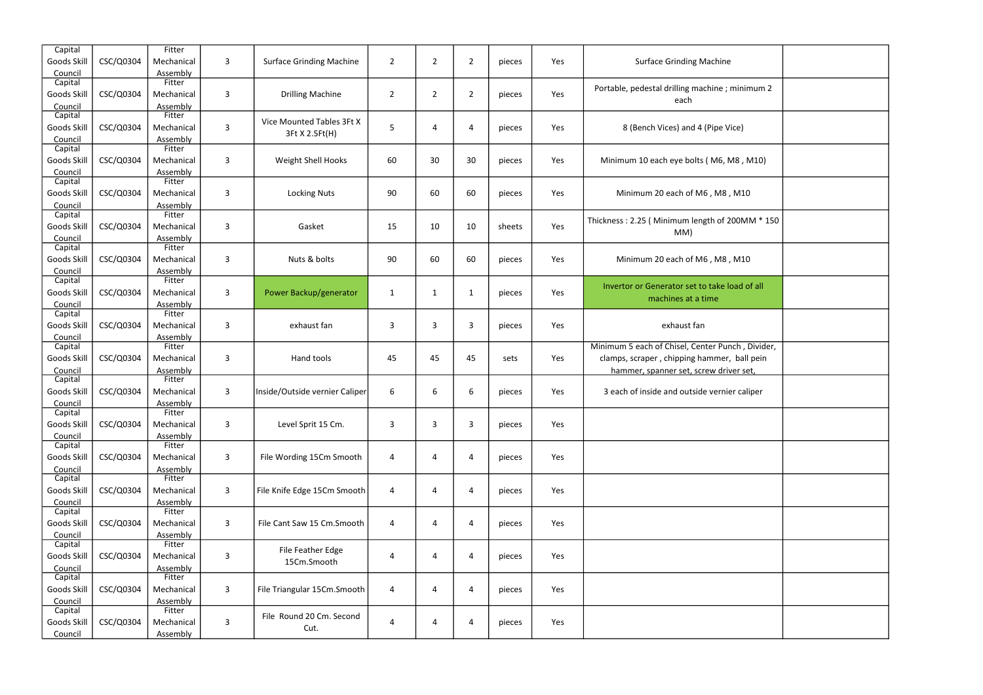| Capital                |           | Fitter                 |                |                                 |                |                |                |        |     |                                                  |  |
|------------------------|-----------|------------------------|----------------|---------------------------------|----------------|----------------|----------------|--------|-----|--------------------------------------------------|--|
| Goods Skill            | CSC/Q0304 | Mechanical             | $\overline{3}$ | <b>Surface Grinding Machine</b> | $\overline{2}$ | $\overline{2}$ | $\overline{2}$ | pieces | Yes | <b>Surface Grinding Machine</b>                  |  |
| Council                |           | Assembly               |                |                                 |                |                |                |        |     |                                                  |  |
| Capital                |           | Fitter                 |                |                                 |                |                |                |        |     |                                                  |  |
| Goods Skill            | CSC/Q0304 | Mechanical             | $\mathbf{3}$   | <b>Drilling Machine</b>         | $\overline{2}$ | $\overline{2}$ | $\overline{2}$ | pieces | Yes | Portable, pedestal drilling machine; minimum 2   |  |
| Council                |           | Assembly               |                |                                 |                |                |                |        |     | each                                             |  |
| Capital                |           | Fitter                 |                |                                 |                |                |                |        |     |                                                  |  |
| Goods Skill            | CSC/Q0304 | Mechanical             | 3              | Vice Mounted Tables 3Ft X       | 5              | 4              | 4              | pieces | Yes | 8 (Bench Vices) and 4 (Pipe Vice)                |  |
|                        |           |                        |                | 3Ft X 2.5Ft(H)                  |                |                |                |        |     |                                                  |  |
| Council<br>Capital     |           | Assembly<br>Fitter     |                |                                 |                |                |                |        |     |                                                  |  |
| Goods Skill            | CSC/Q0304 | Mechanical             | 3              | Weight Shell Hooks              | 60             | 30             | 30             | pieces | Yes | Minimum 10 each eye bolts (M6, M8, M10)          |  |
|                        |           |                        |                |                                 |                |                |                |        |     |                                                  |  |
| Council<br>Capital     |           | Assembly<br>Fitter     |                |                                 |                |                |                |        |     |                                                  |  |
| Goods Skill            | CSC/Q0304 | Mechanical             | $\mathbf{3}$   | <b>Locking Nuts</b>             | 90             | 60             | 60             | pieces | Yes | Minimum 20 each of M6, M8, M10                   |  |
|                        |           |                        |                |                                 |                |                |                |        |     |                                                  |  |
| Council<br>Capital     |           | Assembly<br>Fitter     |                |                                 |                |                |                |        |     |                                                  |  |
|                        | CSC/Q0304 | Mechanical             | $\mathbf{3}$   | Gasket                          | 15             | 10             | 10             | sheets | Yes | Thickness: 2.25 (Minimum length of 200MM * 150   |  |
| Goods Skill            |           |                        |                |                                 |                |                |                |        |     | MM)                                              |  |
| Council<br>Capital     |           | Assembly<br>Fitter     |                |                                 |                |                |                |        |     |                                                  |  |
|                        | CSC/Q0304 | Mechanical             |                |                                 |                |                |                |        |     | Minimum 20 each of M6, M8, M10                   |  |
| Goods Skill            |           |                        | 3              | Nuts & bolts                    | 90             | 60             | 60             | pieces | Yes |                                                  |  |
| Council<br>Capital     |           | Assembly<br>Fitter     |                |                                 |                |                |                |        |     |                                                  |  |
|                        |           |                        |                |                                 |                |                |                |        |     | Invertor or Generator set to take load of all    |  |
| Goods Skill            | CSC/Q0304 | Mechanical             | 3              | Power Backup/generator          | $\mathbf{1}$   | $\mathbf{1}$   | $\mathbf{1}$   | pieces | Yes | machines at a time                               |  |
| Council                |           | Assembly<br>Fitter     |                |                                 |                |                |                |        |     |                                                  |  |
| Capital                |           |                        |                |                                 |                |                |                |        |     |                                                  |  |
| Goods Skill            | CSC/Q0304 | Mechanical             | 3              | exhaust fan                     | 3              | 3              | 3              | pieces | Yes | exhaust fan                                      |  |
| Council                |           | Assembly<br>Fitter     |                |                                 |                |                |                |        |     | Minimum 5 each of Chisel, Center Punch, Divider, |  |
| Capital                |           |                        |                |                                 |                |                |                |        |     |                                                  |  |
| Goods Skill            | CSC/Q0304 | Mechanical             | 3              | Hand tools                      | 45             | 45             | 45             | sets   | Yes | clamps, scraper, chipping hammer, ball pein      |  |
| Council                |           | Assembly               |                |                                 |                |                |                |        |     | hammer, spanner set, screw driver set,           |  |
| Capital                |           | Fitter                 |                |                                 |                |                |                |        |     |                                                  |  |
| Goods Skill            | CSC/Q0304 | Mechanical             | $\mathbf{3}$   | Inside/Outside vernier Caliper  | 6              | 6              | 6              | pieces | Yes | 3 each of inside and outside vernier caliper     |  |
| Council                |           | Assembly               |                |                                 |                |                |                |        |     |                                                  |  |
| Capital                |           | Fitter                 |                |                                 |                |                |                |        |     |                                                  |  |
| Goods Skill            | CSC/Q0304 | Mechanical             | 3              | Level Sprit 15 Cm.              | 3              | 3              | 3              | pieces | Yes |                                                  |  |
| Council                |           | Assembly               |                |                                 |                |                |                |        |     |                                                  |  |
| Capital                |           | Fitter                 |                |                                 |                |                |                |        |     |                                                  |  |
| Goods Skill            | CSC/Q0304 | Mechanical             | $\mathbf{3}$   | File Wording 15Cm Smooth        | 4              | 4              | 4              | pieces | Yes |                                                  |  |
| Council                |           | Assembly               |                |                                 |                |                |                |        |     |                                                  |  |
| Capital                |           | Fitter                 |                |                                 |                |                |                |        |     |                                                  |  |
| Goods Skill            | CSC/Q0304 | Mechanical             | $\mathbf{3}$   | File Knife Edge 15Cm Smooth     | 4              | 4              | 4              | pieces | Yes |                                                  |  |
| Council                |           | Assembly               |                |                                 |                |                |                |        |     |                                                  |  |
| Capital                |           | Fitter                 |                |                                 |                |                |                |        |     |                                                  |  |
| Goods Skill            | CSC/Q0304 | Mechanical             | $\mathbf{3}$   | File Cant Saw 15 Cm.Smooth      | 4              | 4              | 4              | pieces | Yes |                                                  |  |
| Council                |           | Assembly               |                |                                 |                |                |                |        |     |                                                  |  |
| Capital                |           | Fitter                 |                | File Feather Edge               |                |                |                |        |     |                                                  |  |
| Goods Skill            | CSC/Q0304 | Mechanical             | 3              | 15Cm.Smooth                     | 4              | 4              | 4              | pieces | Yes |                                                  |  |
| Council                |           | Assembly               |                |                                 |                |                |                |        |     |                                                  |  |
| Capital                |           | Fitter                 |                |                                 |                |                |                |        |     |                                                  |  |
| Goods Skill            | CSC/Q0304 | Mechanical             | 3              | File Triangular 15Cm.Smooth     | 4              | 4              | 4              | pieces | Yes |                                                  |  |
| Council<br>Capital     |           | Assembly               |                |                                 |                |                |                |        |     |                                                  |  |
|                        |           |                        |                |                                 |                |                |                |        |     |                                                  |  |
|                        |           | Fitter                 |                | File Round 20 Cm. Second        |                |                |                |        |     |                                                  |  |
| Goods Skill<br>Council | CSC/Q0304 | Mechanical<br>Assembly | 3              | Cut.                            | 4              | 4              | 4              | pieces | Yes |                                                  |  |